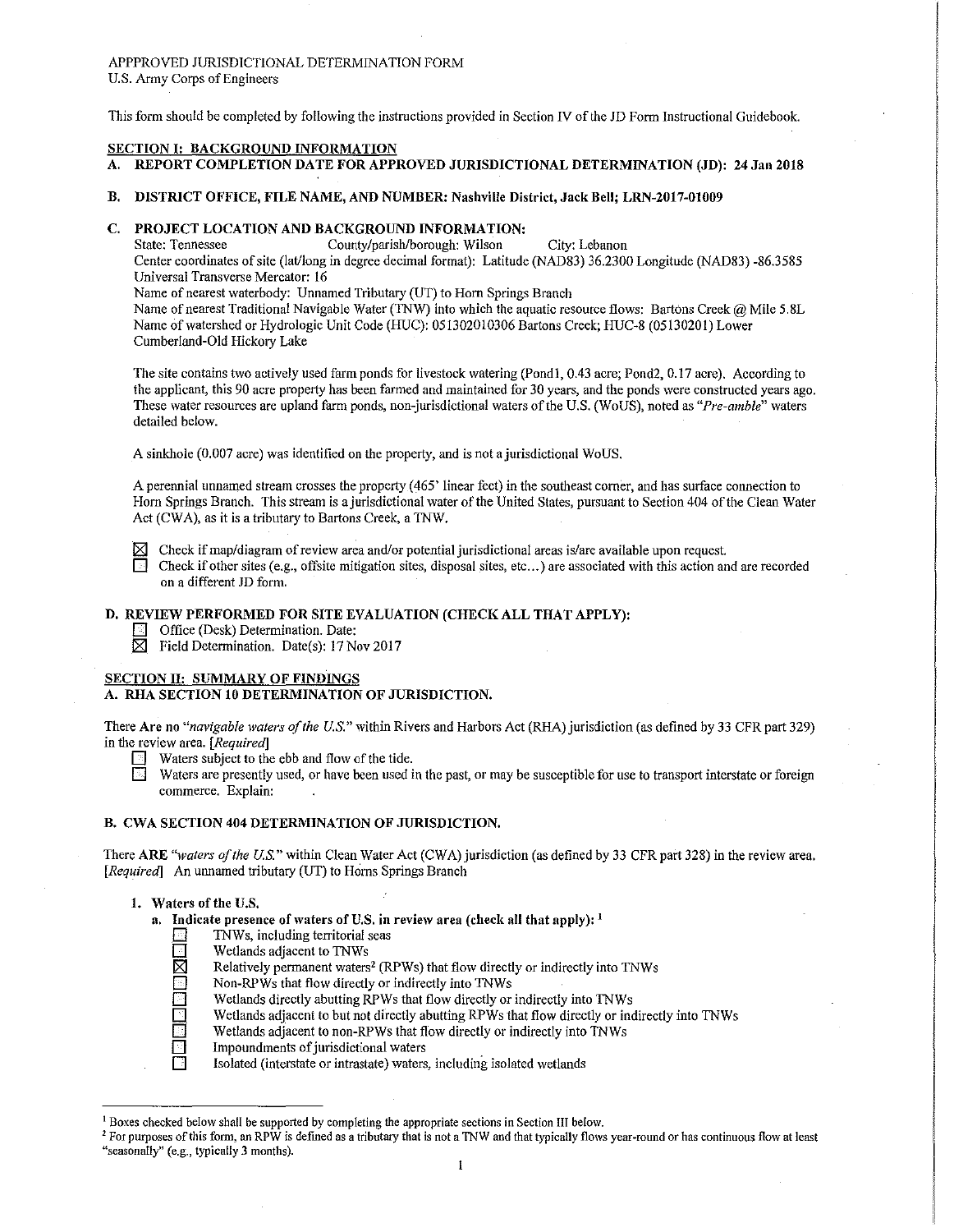# APPPROVED JURISDICTIONAL DETERMINATION FORM U.S. Army Corps of Engineers

This form should be completed by following the instructions provided in Section N of the JD Form Instructional Guidebook.

# SECTION I: BACKGROUND INFORMATION

# A. REPORT COMPLETION DATE FOR APPROVED JURISDICTIONAL DETERMINATION (JD): 24 Jan 2018

B. DISTRICT OFFICE, FILE NAME, AND NUMBER: Nashville District, Jack Bell; LRN-2017-01009

# C. PROJECT LOCATION AND BACKGROUND INFORMATION:<br>State: Tennessee County/parish/borough: Wilson

County/parish/borough: Wilson City: Lebanon

Center coordinates of site (lat/long in degree decimal format): Latitude (NAD83) 36.2300 Longitude (NAD83)-86.3585 Universal Transverse Mercator: 16

Name of nearest waterbody: Unnamed Tributary (UT) to Hom Springs Branch

Name of nearest Traditional Navigable Water (TNW) into which the aquatic resource flows: Bartons Creek @ Mile 5.8L Name of watershed or Hydrologic Unit Code (HUC): 051302010306 Bartons Creek; HUC-8 (05130201) Lower Cumberland-Old Hickoty Lake

The site contains two actively used farm ponds for livestock watering (Pond1, 0.43 acre; Pond2, 0.17 acre). According to the applicant, this 90 acre property has been farmed and maintained for 30 years, and the ponds were constructed years ago. These \Vater resources are upland farm ponds, non-jurisdictional waters of the U.S. (WoUS), noted as *"Pre-amble"* waters detailed below.

A sinkhole (0.007 acre) was identified on the property, and is not a jurisdictional WoUS.

A perennial unnamed stream crosses the property (465' linear feet) in the southeast comer, and has surface connection to Horn Springs Branch. This stream is a jurisdictional water of the United States, pursuant to Section 404 of the Clean Water Act (CWA), as it is a tributary to Bartons Creek, a TNW.

 $✓$  Check if map/diagram of review area and/or potential jurisdictional areas is/are available upon request.<br>□ Check if other sites (e.g., offsite mitigation sites, disposal sites, etc...) are associated with this acti **0** Check if other sites (e.g., offsite mitigation sites, disposal sites, etc ... ) are associated with this action and are recorded on a different JD form.

## D, REVIEW PERFORMED FOR SITE EVALUATION (CHECK ALL THAT APPLY):

- *<u>D</u>* Office (Desk) Determination. Date:
- $\boxtimes$  Field Determination. Date(s): 17 Nov 2017

# SECTION II: SUMMARY OF FINDINGS

## A. RHA SECTION 10 DETERMINATION OF JURISDICTION.

There **Are no** *"navigable lvaters of the U.S."* within Rivers and Harbors Act (RHA) jurisdiction (as defined by 33 CFR part 329) in the review area. *[Required]* 

- $\Box$  Waters subject to the ebb and flow of the tide.
- **0** Waters are presently used, or have been used in the past, or may be susceptible for use to transport interstate or foreign commerce. Explain:

# B. CWA SECTION 404 DETERMINATION OF JURISDICTION.

There ARE *"waters of the U.S."* within Clean Water Act (CWA) jurisdiction (as defined by 33 CFR part 328) in the review area. *[Required]* An unnamed tributary (UT) to Horns Springs Branch

#### 1. Waters of the U,S,

**a.** Indicate presence of waters of U.S. in review area (check all that apply): <sup>1</sup>

- 
- Wetlands adjacent to TNWs
- Relatively permanent waters<sup>2</sup> (RPWs) that flow directly or indirectly into TNWs
- **D B TAWS, including territorial seas**<br> **D B Conserved B Conserved B Conserved B Conserved B Conserved B Conserved B Conserved B Conserved B Conserved B Conserved B Conserved B Conserved B Conserved B Conserved B Conserved D**  Non-RPWs that flow directly or indirectly into TNWs Wetlands directly abutting RPWs that flow directly or
- **D B** Wetlands directly abutting RPWs that flow directly or indirectly into TNWs<br>Wetlands adjacent to but not directly abutting RPWs that flow directly or indirectly into TNWs<br>Wetlands adjacent to non-RPWs that flow direct
	- Wetlands adjacent to but not directly abutting RPWs that flow directly or indirectly into TNWs
- $\Box$  Wetlands adjacent to non-RPWs that flow directly or indirectly into TNWs Impoundments of jurisdictional waters
- **D** Impoundments of jurisdictional waters<br> **D** Isolated (interstate or intrastate) waters
	- Isolated (interstate or intrastate) waters, including isolated wetlands

<sup>1</sup> Boxes checked below shall be supported by completing the appropriate sections in Section III below.

<sup>&</sup>lt;sup>2</sup> For purposes of this form, an RPW is defined as a tributary that is not a TNW and that typically flows year-round or has continuous flow at least "seasonally" (e.g., typically 3 months).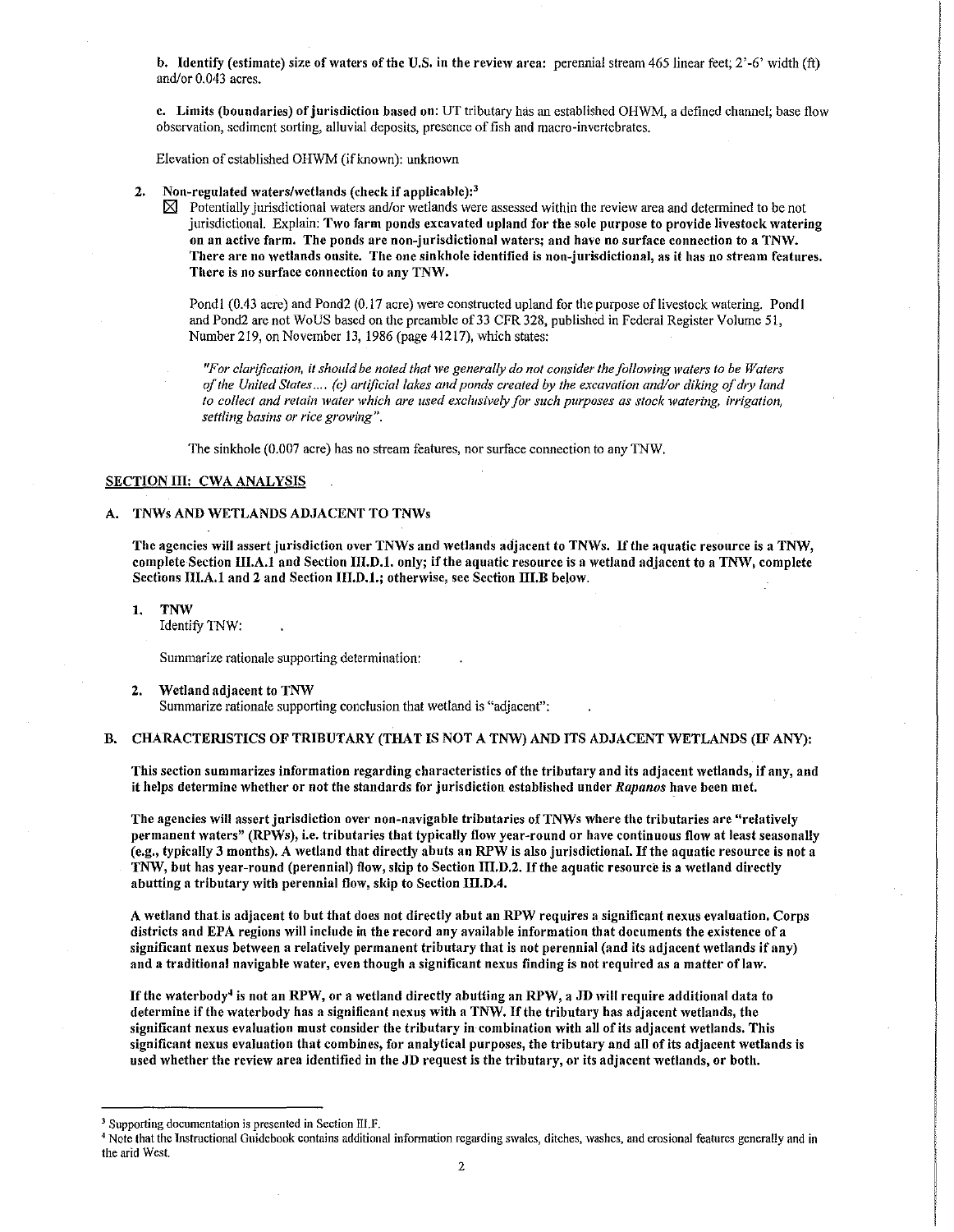b. Identify (estimate) size of waters of the U.S. in the review area: perennial stream 465 linear feet;  $2'-6'$  width (ft) and/or 0.043 acres.

c. Limits (boundaries) of jurisdiction based on: UT tributary has an established OHWM, a defined channel; base flow observation, sediment sorting, alluvial deposits, presence of fish and macro-invertebrates.

Elevation of established OHWM (if known): unknown

- 2. Non-regulated waters/wetlands (check if applicable): $<sup>3</sup>$ </sup>
	- $\boxtimes$  Potentially jurisdictional waters and/or wetlands were assessed within the review area and determined to be not jurisdictional. Explain: Two farm ponds excavated upland for the sole purpose to provide livestock watering on an active farm. The ponds are non-jurisdictional \Vaters; and ha\1e no surface connection to a TNW. There are no wetlands onsite. The one sinkhole identified is non-jurisdictional, as it has no stream features. There is no surface connection to any TNW.

Pondl (0.43 acre) and Pond2 (0.17 acre) were constructed upland for the purpose of livestock watering. Pond I and Pond2 are not WoUS based on the preamble of 33 CFR 328, published in Federal Register Volume 51, Number 219, on November 13, 1986 (page 41217), which states:

*"For clarification, it should be noted that we generally do not consider the following waters to be Waters of the United States .... (c) artificial lakes and ponds created by the excavation and/or diking of dry land*  to collect and retain water which are used exclusively for such purposes as stock watering, irrigation, *settling basins or rice growing".* 

The sinkhole (0.007 acre) has no stream features, nor surface connection to any 1NW.

#### SECTION III: CWA ANALYSIS

#### A. TNWs AND WETLANDS ADJACENT TO TNWs

The agencies will assert jurisdiction over TNWs and wetlands adjacent to TNWs. If the aquatic resource is a TNW, complete Section III.A.1 and Section III.D.1. only; if the aquatic resource is a wetland adjacent to a TNW, complete Sections 111.A.1 and 2 and Section 111.D.1.; otherwise, see Section III.B below.

1. TNW

Identify TNW:

Summarize rationale supporting determination:

2. Wetland adjacent to TNW

Summarize rationale supporting conclusion that wetland is "adjacent":

## B. CHARACTERISTICS OF TRIBUTARY (THAT IS NOT A TNW) AND ITS ADJACENT WETLANDS (IF ANY):

This section summarizes information regarding characteristics of the tributary and its adjacent \vetlands, if any, and it helps determine whether or not the standards for jurisdiction established under Rapanos have been met.

The agencies will assert jurisdiction over non-navigable tributaries of TNWs where the tributaries are "relatively permanent waters" (RPWs), i.e. tributaries that typically flow year-round or have continuous flow at least seasonally (e.g., typically 3 months). A wetland that directly abuts an RPW is also jurisdictional. If the aquatic resource is not a TNW, but has year-round (perennial) flow, skip to Section 111.D.2. If the aquatic resource is a wetland directly abutting a tributary with perennial flow, skip to Section III.D.4.

A wetland that is adjacent to but that does not directly abut an RPW requires a significant nexus evaluation. Corps districts and EPA regions will include in the record any available information that documents the existence of a significant nexus between a relatively permanent tributary that is not perennial (and its adjacent wetlands if any) and a traditional navigable water, even though a significant nexus finding is not required as a matter of law.

If the waterbody<sup>4</sup> is not an RPW, or a wetland directly abutting an RPW, a JD will require additional data to determine if the waterbody has a significant nexus with a TNW. If the tributary has adjacent wetlands, the significant nexus evaluation must consider the tributary in-combination with all of its adjacent wetlands. This significant nexus evaluation that combines, for analytical purposes, the tributary and all of its adjacent wetlands is used whether the review area identified in the JD request is the tributary, or its adjacent wetlands, or both.

<sup>&</sup>lt;sup>3</sup> Supporting documentation is presented in Section III.F.<br><sup>4</sup> Note that the Instructional Guidebook contains additional information regarding swales, ditches, washes, and erosional features generally and in the arid West.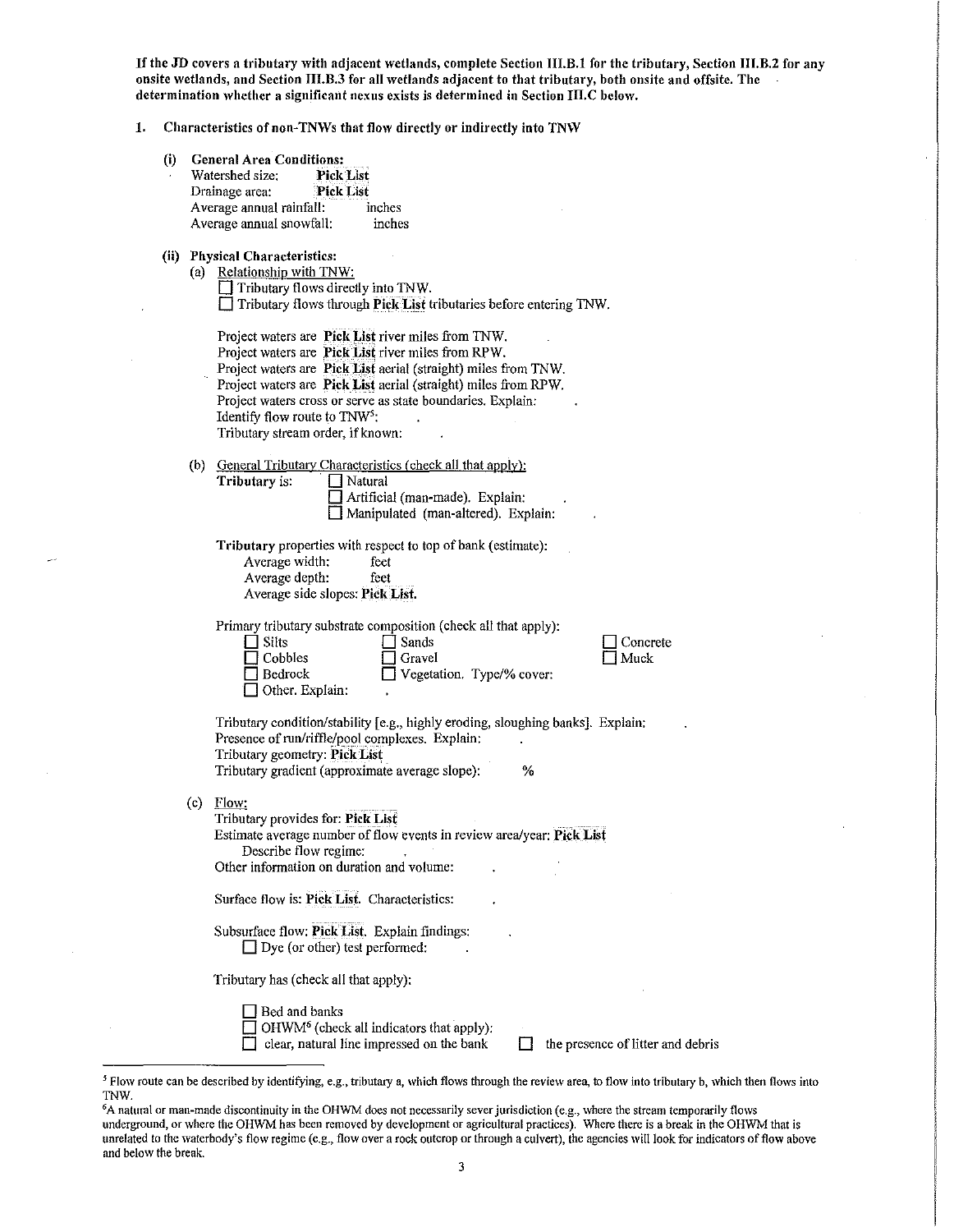If the JD covers a tributary with adjacent wetlands, complete Section III.B.1 for the tributary, Section III.B.2 for any onsite wetlands, and Section III.B.3 for all wetlands adjacent to that tributary, both onsite and offsite. The determination whether a significant nexus exists is determined in Section III.C below.

# 1. Characteristics of non-TNWs that flow directly or indirectly into TNW

|     | Characteristics of non-INWs that flow directly or indirectly into INW                                                                                                                                                                                                                                                                                                                                                                                                                                                                                                            |  |  |  |  |  |  |
|-----|----------------------------------------------------------------------------------------------------------------------------------------------------------------------------------------------------------------------------------------------------------------------------------------------------------------------------------------------------------------------------------------------------------------------------------------------------------------------------------------------------------------------------------------------------------------------------------|--|--|--|--|--|--|
| (i) | <b>General Area Conditions:</b><br><b>Pick List</b><br>Watershed size:<br><b>Pick List</b><br>Drainage area:<br>Average annual rainfall:<br>inches<br>Average annual snowfall:<br>inches                                                                                                                                                                                                                                                                                                                                                                                         |  |  |  |  |  |  |
|     | (ii) Physical Characteristics:<br>(a) Relationship with TNW:<br>$\Box$ Tributary flows directly into TNW.<br>Tributary flows through Pick List tributaries before entering TNW.<br>Project waters are Pick List river miles from TNW.<br>Project waters are Pick List river miles from RPW.<br>Project waters are Pick List aerial (straight) miles from TNW.<br>Project waters are Pick List aerial (straight) miles from RPW.<br>Project waters cross or serve as state boundaries. Explain:<br>Identify flow route to TNW <sup>5</sup> :<br>Tributary stream order, if known: |  |  |  |  |  |  |
|     | General Tributary Characteristics (check all that apply):<br>(b)<br>Tributary is:<br>Natural<br>Artificial (man-made). Explain:<br>Manipulated (man-altered). Explain:<br>Tributary properties with respect to top of bank (estimate):<br>Average width:<br>feet<br>Average depth:<br>feet<br>Average side slopes: Pick List.<br>Primary tributary substrate composition (check all that apply):<br><b>Silts</b><br>Sands<br>Cobbles<br>Gravel                                                                                                                                   |  |  |  |  |  |  |

□ Concrete  $\Box$  Muck

Tributary condition/stability [e.g., highly eroding, sloughing banks]. Explain: Presence of run/riffle/pool complexes. Explain: Tributary geometry: Pick List Tributary gradient (approximate average slope): %

(c) Flow:

Tributary provides for: Pick List Estimate average number of flow events in review area/year: Pick List Describe flow regime: Other information on duration and volume:

Surface flow is: Pick List. Characteristics:

Subsurface flow: Pick List. Explain findings:  $\Box$  Dye (or other) test performed:

Tributary has (check all that apply):

Bed and banks

 $\Box$  Other. Explain:

 $\Box$  OHWM<sup>6</sup> (check all indicators that apply):

 $\Box$  clear, natural line impressed on the bank  $\Box$  the presence of litter and debris

<sup>&</sup>lt;sup>5</sup> Flow route can be described by identifying, e.g., tributary a, which flows through the review area, to flow into tributary b, which then flows into TNW.

<sup>&</sup>lt;sup>6</sup>A natural or man-made discontinuity in the OHWM does not necessarily sever jurisdiction (e.g., where the stream temporarily flows underground, or where the OHWM has been removed by development or agricultural practices). Where there is a break in the OHWM that is unrelated to the waterbody's flow regime (e.g., flow over a rock outcrop or through a culvert), the agencies will look for indicators of flow above and below the break.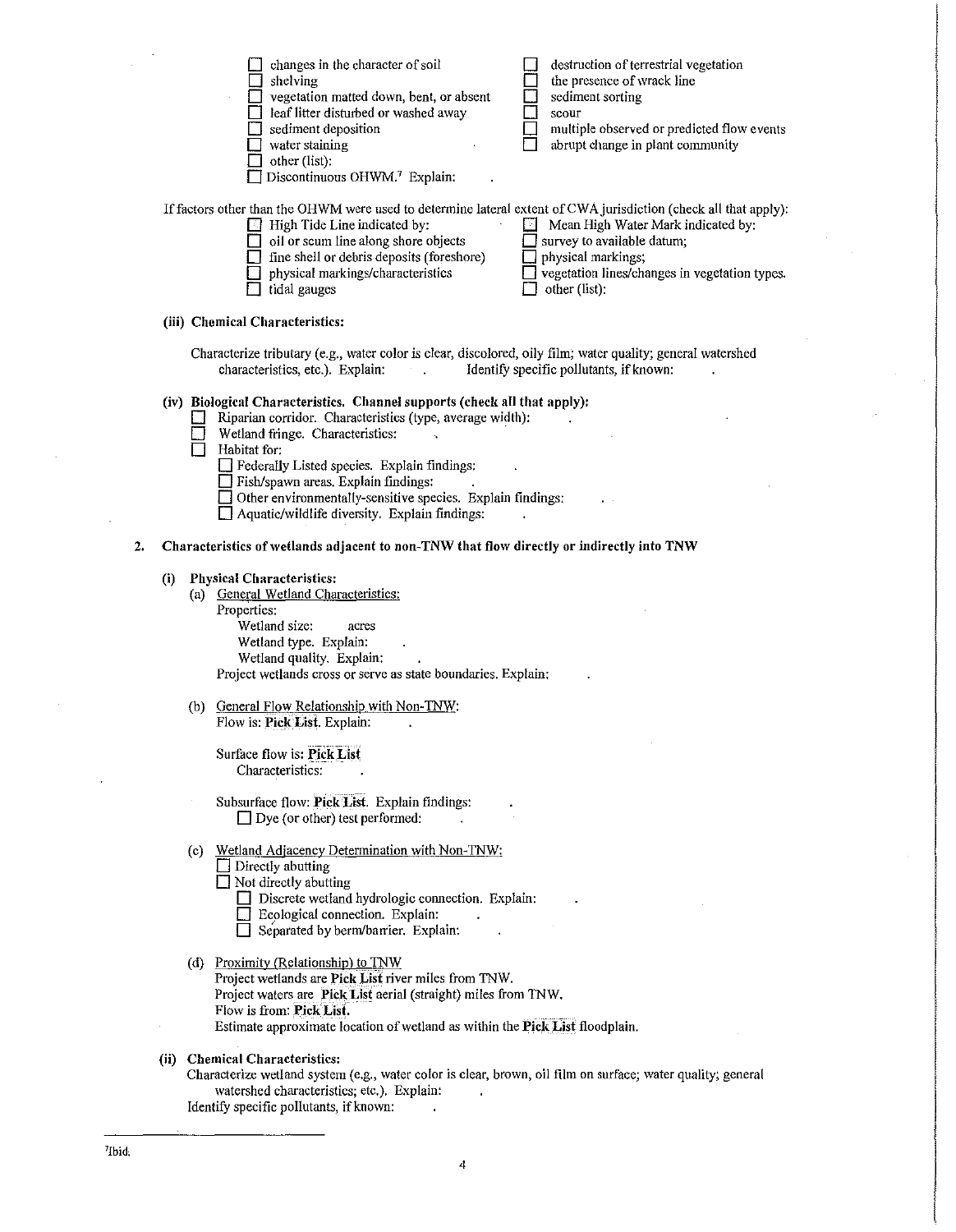|    |     | changes in the character of soil<br>destruction of terrestrial vegetation<br>the presence of wrack line<br>shelving<br>sediment sorting<br>vegetation matted down, bent, or absent<br>leaf litter disturbed or washed away<br>scour<br>sediment deposition<br>multiple observed or predicted flow events<br>abrupt change in plant community<br>water staining<br>other (list):<br>Discontinuous OHWM.7 Explain:                                                           |  |
|----|-----|----------------------------------------------------------------------------------------------------------------------------------------------------------------------------------------------------------------------------------------------------------------------------------------------------------------------------------------------------------------------------------------------------------------------------------------------------------------------------|--|
|    |     | If factors other than the OHWM were used to determine lateral extent of CWA jurisdiction (check all that apply):<br>$\Box$ High Tide Line indicated by:<br>Mean High Water Mark indicated by:<br>19<br>survey to available datum;<br>oil or scum line along shore objects<br>$\Box$ fine shell or debris deposits (foreshore)<br>physical markings;<br>vegetation lines/changes in vegetation types.<br>physical markings/characteristics<br>tidal gauges<br>other (list): |  |
|    |     | (iii) Chemical Characteristics:                                                                                                                                                                                                                                                                                                                                                                                                                                            |  |
|    |     | Characterize tributary (e.g., water color is clear, discolored, oily film; water quality; general watershed<br>characteristics, etc.). Explain:<br>Identify specific pollutants, if known:                                                                                                                                                                                                                                                                                 |  |
|    |     | (iv) Biological Characteristics. Channel supports (check all that apply):<br>Riparian corridor. Characteristics (type, average width):<br>Wetland fringe. Characteristics:<br>Habitat for:<br>Federally Listed species. Explain findings:<br>Fish/spawn areas. Explain findings:<br>$\Box$ Other environmentally-sensitive species. Explain findings:<br>$\exists$ Aquatic/wildlife diversity. Explain findings:                                                           |  |
| 2. |     | Characteristics of wetlands adjacent to non-TNW that flow directly or indirectly into TNW                                                                                                                                                                                                                                                                                                                                                                                  |  |
|    | (i) | <b>Physical Characteristics:</b><br>(a) General Wetland Characteristics:<br>Properties:<br>Wetland size:<br>acres<br>Wetland type. Explain:<br>Wetland quality. Explain:<br>Project wetlands cross or serve as state boundaries. Explain:                                                                                                                                                                                                                                  |  |
|    |     | (b) General Flow Relationship with Non-TNW:<br>Flow is: Pick List. Explain:                                                                                                                                                                                                                                                                                                                                                                                                |  |
|    |     | manad el<br>Surface flow is: Pick List<br>Characteristics:                                                                                                                                                                                                                                                                                                                                                                                                                 |  |
|    |     | Subsurface flow: Pick List. Explain findings:<br>$\Box$ Dye (or other) test performed:                                                                                                                                                                                                                                                                                                                                                                                     |  |
|    |     | (c) Wetland Adjacency Determination with Non-TNW:<br>$\Box$ Directly abutting<br>$\Box$ Not directly abutting<br>Discrete wetland hydrologic connection. Explain:<br>Ecological connection. Explain:<br>Separated by berm/barrier. Explain:                                                                                                                                                                                                                                |  |
|    |     | (d) Proximity (Relationship) to TNW<br>Project wetlands are Pick List river miles from TNW.<br>Project waters are Pick List aerial (straight) miles from TNW.<br>Flow is from: Pick List.<br>Estimate approximate location of wetland as within the Pick List floodplain.                                                                                                                                                                                                  |  |
|    |     | (ii) Chemical Characteristics:<br>Characterize wetland system (e.g., water color is clear, brown, oil film on surface; water quality; general<br>watershed characteristics; etc.). Explain:                                                                                                                                                                                                                                                                                |  |

Identify specific pollutants, if known:

 $\ddot{\phantom{a}}$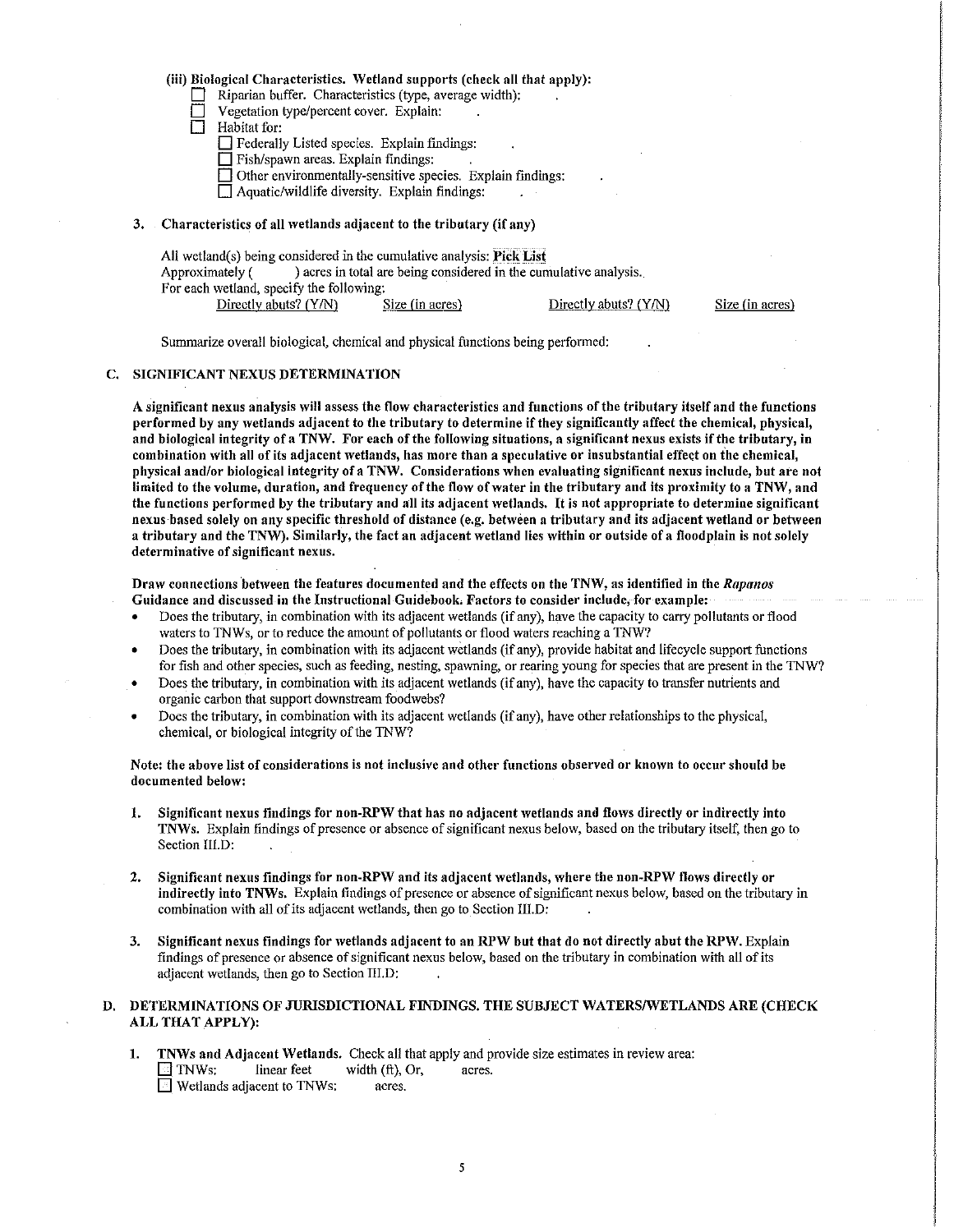## (iii) Biological Characteristics. Wetland supports (check all that apply):

Riparian buffer. Characteristics (type, average width):

- Vegetation type/percent cover. Explain:
- Habitat for:

 $\Box$  Federally Listed species. Explain findings:

 $\Box$  Fish/spawn areas. Explain findings:

 $\Box$  Other environmentally-sensitive species. Explain findings:

 $\Box$  Aquatic/wildlife diversity. Explain findings:

#### 3. Characteristics of all \Vetlands adjacent to the tributary (if any)

| All wetland(s) being considered in the cumulative analysis: Pick List |  |                                                                   |  |                       |  |  |  |
|-----------------------------------------------------------------------|--|-------------------------------------------------------------------|--|-----------------------|--|--|--|
| Approximately (                                                       |  | ) acres in total are being considered in the cumulative analysis. |  |                       |  |  |  |
| For each wetland, specify the following:                              |  |                                                                   |  |                       |  |  |  |
| Directly abuts? (Y/N)                                                 |  | Size (in acres)                                                   |  | Directly abuts? (Y/N) |  |  |  |

Size fin acres)

Summarize overall biological, chemical and physical functions being performed:

#### C. SIGNIFICANT NEXUS DETERMINATION

A significant nexus analysis will assess the flow characteristics and functions of the tributary itself and the functions performed by any wetlands adjacent to the tributary to determine if they significantly affect the chemical, physical, and biological integrity of a TNW. For each of the following situations, a significant nexus exists if the tributary, in combination \Vith all of its adjacent wetlands, has more than a speculative or insubstantial effect on the chemical, physical and/or biological integrity ofa TNW. Considerations when evaluating significant nexus include, but ate not limited to the volume, duration, and frequency of the flow of water in the tributary and its proximity to a TNW, and the functions performed by the tributary and all its adjacent wetlands. It is not appropriate to determine significant nexus based solely on any specific threshold of distance (e.g. between a tributary and its adjacent wetland or between a tributary and the TNW). Similarly, the fact an adjacent wetland lies within or outside of a floodplain is not solely determinative of significant nexus.

Draw connections between the features documented and the effects on the TNW, as identified in the *Rapanos* Guidance and discussed in the Instructional Guidebook. Factors to consider include, for example:

- Does the tributary, in combination with its adjacent wetlands (if any), have the capacity to carry pollutants or flood waters to TNWs, or to reduce the amount of pollutants or flood waters reaching a TNW?
- Does the tributary, in combination with its adjacent wetlands (if any), provide habitat and lifecycle support functions for fish and other species, such as feeding, nesting, spawning, or rearing young for species that are present in the TNW?
- Does the tributary, in combination with its adjacent wetlands (if any), have the capacity to transfer nutrients and organic carbon that support downstream foodwebs?
- Does the tributary, in combination with its adjacent wetlands (if any), have other relationships to the physical, chemical, or biological integrity of the TNW?

Note: the above list of considerations is not inclusive and other functions observed or known to occur should be documented below:

- 1. Significant nexus findings for non-RPW that has no adjacent wetlands and flows directly or indirectly into TNWs. Explain findings of presence or absence of significant nexus below, based on the tributary itself, then go to Section IIl.D:
- 2. Significant nexus findings for non-RPW and its adjacent wetlands, where the non-RPW flows directly or indirectly into TNWs. Explain findings of presence or absence of significant nexus below, based on the tributary in combination with all of its adjacent wetlands, then go to Section III.D:
- 3. Significant nexus findings for wetlands adjacent to an RPW but that do not directly abut the RPW. Explain findings of presence or absence of significant nexus below, based on the tributary in combination with all of its adjacent wetlands, then go to Section III.D:

# D. DETERMINATIONS OF JURISDICTIONAL FINDINGS. THE SUBJECT WATERS/WETLANDS ARE (CHECK ALLTHAT APPLY):

1. TNWs and Adjacent Wetlands. Check all that apply and provide size estimates in review area:  $\Box$  TNWs: linear feet width (ft), Or, acres.  $\Box$  Wetlands adjacent to TNWs: acres.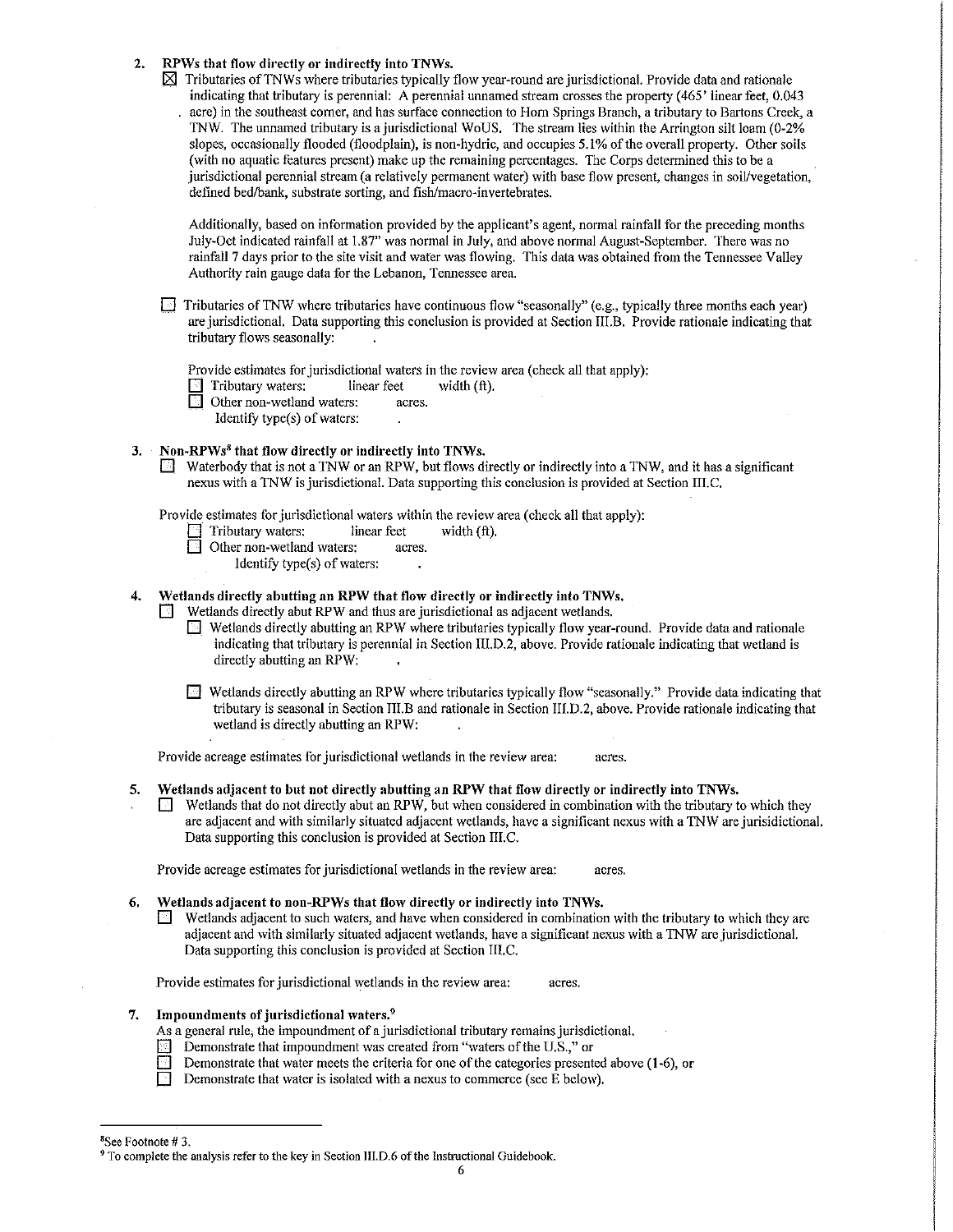2. RPWs that flow directly or indirectly into TNWs.

 $\boxtimes$  Tributaries of TNWs where tributaries typically flow year-round are jurisdictional. Provide data and rationale indicating that tributary is perennial: A perennial unnamed stream crosses the property (465' linear feet, 0.043 acre) in the southeast comer, and has surface connection to Hom Springs Branch, a tributary to Bartons Creek, a TNW. The unnamed tributary is a jurisdictional WoUS. The stream lies within the Arrington silt loam (0-2% slopes, occasionally flooded (floodplain), is non-hydric, and occupies 5.1% of the overall property. Other soils (with no aquatic features present) make up the remaining percentages. The Corps determined this to be a jurisdictional perennial stream (a relatively permanent water) with base flow present, changes in soil/vegetation, defined bed/bank, substrate sorting, and fish/macro-invertebrates.

Additionally, based on information provided by the applicant's agent, normal rainfall for the preceding months July-Oct indicated rainfall at 1.87" was normal in July, and above normal August-September. There was no rainfall 7 days prior to the site visit and water was flowing. This data was obtained from the Tennessee Valley Authority rain gauge data for the Lebanon, Tennessee area.

 $\Box$  Tributaries of TNW where tributaries have continuous flow "seasonally" (e.g., typically three months each year) are jurisdictional. Data supporting this conclusion is provided at Section IIl.B. Provide rationale indicating that tributary flows seasonally:

Provide estimates for jurisdictional waters in the review area (check all that apply):

 $\Box$  Tributary waters: linear feet width  $(ft)$ .

Other non-wetland waters: acres.

Identify type(s) of waters:

#### 3. Non-RPWs8 that flow directly or indirectly into TNWs.

0 Waterbody that is not a 1NW or an RPW, but flows directly or indirectly into a TNW, and it has a significant nexus with a TNW is jurisdictional. Data supporting this conclusion is provided at Section IIl.C.

Provide estimates for jurisdictional waters within the review area (check all that apply):

- $\Box$  Tributary waters: linear feet width (ft).<br> $\Box$  Other non-wetland waters: acres.
- $\Box$  Other non-wetland waters:
	- Identify type(s) of waters:

# Wetlands directly abutting an RPW that flow directly or indirectly into TNWs.

 $\Box$  Wetlands directly abut RPW and thus are jurisdictional as adjacent wetlands.

- D Wetlands directly abutting an RPW where tributaries typically flow year-round. Provide data and rationale indicating that tributary is perennial in Section IIl.D.2, above. Provide rationale indicating that wetland is directly abutting an RPW:
- D Wetlands directly abutting an RPW where tributaries typically flow "seasonally." Provide data indicating that tributary is seasonal in Section III.B and rationale in Section 111.D.2, above. Provide rationale indicating that wetland is directly abutting an RPW:

Provide acreage estimates for jurisdictional wetlands in the review area: acres.

- 5. Wetlands adjacent to but not directly abutting an RPW that flow directly or indirectly into TNWs.
	- Wetlands that do not directly abut an RPW, but when considered in combination with the tributary to which they are adjacent and with similarly situated adjacent wetlands, have a significant nexus with a TNW are jurisidictional. Data supporting this conclusion is provided at Section III.C.

Provide acreage estimates for jurisdictional wetlands in the review area: acres.

#### 6. Wetlands adjacent to non-RPWs that flow directly or indirectly into TNWs.

 $\blacksquare$  Wetlands adjacent to such waters, and have when considered in combination with the tributary to which they are adjacent and with similarly situated adjacent wetlands, have a significant nexus with a TNW are jurisdictional. Data supporting this conclusion is provided at Section III.C.

Provide estimates for jurisdictional wetlands in the review area: acres.

#### Impoundments of jurisdictional waters.<sup>9</sup>

As a general rule; the impoundment of a jurisdictional tributary remains jurisdictional.

- **1** Demonstrate that impoundment was created from "waters of the U.S.," or **Demonstrate that water meets the criteria** for one of the categories presents
	- Demonstrate that water meets the criteria for one of the categories presented above (1-6), or
- **Demonstrate that water is isolated with a nexus to commerce (see E below).**

<sup>&</sup>lt;sup>8</sup>See Footnote #3.

 $9$  To complete the analysis refer to the key in Section III.D.6 of the Instructional Guidebook.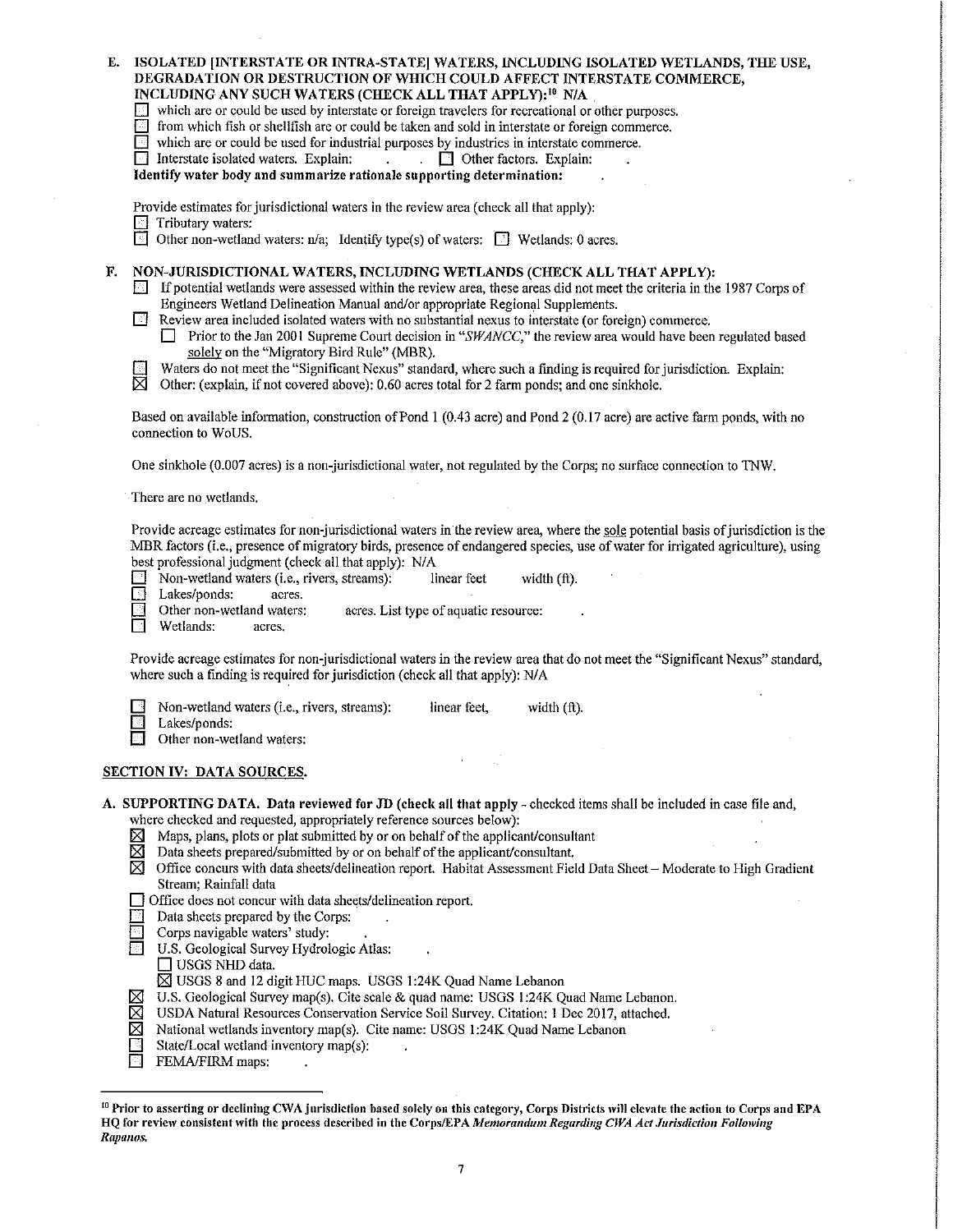| E.                                                                                                                                                                                                                                                                                                                                                                                                                                                                                                                                                                                                                                                                                                                                                                                               | ISOLATED INTERSTATE OR INTRA-STATE] WATERS, INCLUDING ISOLATED WETLANDS, THE USE,<br>DEGRADATION OR DESTRUCTION OF WHICH COULD AFFECT INTERSTATE COMMERCE,<br>INCLUDING ANY SUCH WATERS (CHECK ALL THAT APPLY): <sup>10</sup> N/A<br>which are or could be used by interstate or foreign travelers for recreational or other purposes.<br><b>E</b> from which fish or shellfish are or could be taken and sold in interstate or foreign commerce.<br>$\Box$ which are or could be used for industrial purposes by industries in interstate commerce.<br>$\Box$ Interstate isolated waters. Explain:<br>$\Box$ Other factors. Explain:<br>$\mathbf{L}$<br>$\mathcal{L}^{\text{max}}$<br>Identify water body and summarize rationale supporting determination:<br>Provide estimates for jurisdictional waters in the review area (check all that apply):<br>Tributary waters:                                                                                                                                                                                                                                                       |  |  |  |  |
|--------------------------------------------------------------------------------------------------------------------------------------------------------------------------------------------------------------------------------------------------------------------------------------------------------------------------------------------------------------------------------------------------------------------------------------------------------------------------------------------------------------------------------------------------------------------------------------------------------------------------------------------------------------------------------------------------------------------------------------------------------------------------------------------------|-----------------------------------------------------------------------------------------------------------------------------------------------------------------------------------------------------------------------------------------------------------------------------------------------------------------------------------------------------------------------------------------------------------------------------------------------------------------------------------------------------------------------------------------------------------------------------------------------------------------------------------------------------------------------------------------------------------------------------------------------------------------------------------------------------------------------------------------------------------------------------------------------------------------------------------------------------------------------------------------------------------------------------------------------------------------------------------------------------------------------------------|--|--|--|--|
| Other non-wetland waters: $n/a$ ; Identify type(s) of waters: $\Box$ Wetlands: 0 acres.<br>।न<br>NON-JURISDICTIONAL WATERS, INCLUDING WETLANDS (CHECK ALL THAT APPLY):<br>F.<br>If potential wetlands were assessed within the review area, these areas did not meet the criteria in the 1987 Corps of<br>Ħ<br>Engineers Wetland Delineation Manual and/or appropriate Regional Supplements.<br>Review area included isolated waters with no substantial nexus to interstate (or foreign) commerce.<br><b>Prior to the Jan 2001 Supreme Court decision in "SWANCC," the review area would have been regulated based</b><br>solely on the "Migratory Bird Rule" (MBR).<br>Waters do not meet the "Significant Nexus" standard, where such a finding is required for jurisdiction. Explain:<br>∤⊹¦ |                                                                                                                                                                                                                                                                                                                                                                                                                                                                                                                                                                                                                                                                                                                                                                                                                                                                                                                                                                                                                                                                                                                                   |  |  |  |  |
| ⊠<br>Other: (explain, if not covered above): 0.60 acres total for 2 farm ponds; and one sinkhole.<br>Based on available information, construction of Pond 1 (0.43 acre) and Pond 2 (0.17 acre) are active farm ponds, with no<br>connection to WoUS.                                                                                                                                                                                                                                                                                                                                                                                                                                                                                                                                             |                                                                                                                                                                                                                                                                                                                                                                                                                                                                                                                                                                                                                                                                                                                                                                                                                                                                                                                                                                                                                                                                                                                                   |  |  |  |  |
|                                                                                                                                                                                                                                                                                                                                                                                                                                                                                                                                                                                                                                                                                                                                                                                                  | One sinkhole (0.007 acres) is a non-jurisdictional water, not regulated by the Corps; no surface connection to TNW.                                                                                                                                                                                                                                                                                                                                                                                                                                                                                                                                                                                                                                                                                                                                                                                                                                                                                                                                                                                                               |  |  |  |  |
|                                                                                                                                                                                                                                                                                                                                                                                                                                                                                                                                                                                                                                                                                                                                                                                                  | There are no wetlands.                                                                                                                                                                                                                                                                                                                                                                                                                                                                                                                                                                                                                                                                                                                                                                                                                                                                                                                                                                                                                                                                                                            |  |  |  |  |
|                                                                                                                                                                                                                                                                                                                                                                                                                                                                                                                                                                                                                                                                                                                                                                                                  | Provide acreage estimates for non-jurisdictional waters in the review area, where the sole potential basis of jurisdiction is the<br>MBR factors (i.e., presence of migratory birds, presence of endangered species, use of water for irrigated agriculture), using<br>best professional judgment (check all that apply): N/A<br>Non-wetland waters (i.e., rivers, streams):<br>linear feet<br>ŀH<br>width (ft).<br>Lakes/ponds:<br>⊡<br>acres.<br>R<br>Other non-wetland waters:<br>acres. List type of aquatic resource:<br>Wetlands:<br>acres.                                                                                                                                                                                                                                                                                                                                                                                                                                                                                                                                                                                 |  |  |  |  |
|                                                                                                                                                                                                                                                                                                                                                                                                                                                                                                                                                                                                                                                                                                                                                                                                  | Provide acreage estimates for non-jurisdictional waters in the review area that do not meet the "Significant Nexus" standard,<br>where such a finding is required for jurisdiction (check all that apply): N/A                                                                                                                                                                                                                                                                                                                                                                                                                                                                                                                                                                                                                                                                                                                                                                                                                                                                                                                    |  |  |  |  |
|                                                                                                                                                                                                                                                                                                                                                                                                                                                                                                                                                                                                                                                                                                                                                                                                  | Non-wetland waters (i.e., rivers, streams):<br>linear feet,<br>width $(ft)$ .<br>Lakes/ponds:<br>Other non-wetland waters:                                                                                                                                                                                                                                                                                                                                                                                                                                                                                                                                                                                                                                                                                                                                                                                                                                                                                                                                                                                                        |  |  |  |  |
|                                                                                                                                                                                                                                                                                                                                                                                                                                                                                                                                                                                                                                                                                                                                                                                                  | <b>SECTION IV: DATA SOURCES.</b>                                                                                                                                                                                                                                                                                                                                                                                                                                                                                                                                                                                                                                                                                                                                                                                                                                                                                                                                                                                                                                                                                                  |  |  |  |  |
|                                                                                                                                                                                                                                                                                                                                                                                                                                                                                                                                                                                                                                                                                                                                                                                                  | A. SUPPORTING DATA. Data reviewed for JD (check all that apply - checked items shall be included in case file and,<br>where checked and requested, appropriately reference sources below):<br>Maps, plans, plots or plat submitted by or on behalf of the applicant/consultant<br>⊠<br>⊠<br>Data sheets prepared/submitted by or on behalf of the applicant/consultant.<br>⊠<br>Office concurs with data sheets/delineation report. Habitat Assessment Field Data Sheet - Moderate to High Gradient<br>Stream; Rainfall data<br>□ Office does not concur with data sheets/delineation report.<br>Data sheets prepared by the Corps:<br>Corps navigable waters' study:<br>U.S. Geological Survey Hydrologic Atlas:<br>$\Box$ USGS NHD data.<br>⊠ USGS 8 and 12 digit HUC maps. USGS 1:24K Quad Name Lebanon<br>ΣØ<br>U.S. Geological Survey map(s). Cite scale & quad name: USGS 1:24K Quad Name Lebanon.<br>USDA Natural Resources Conservation Service Soil Survey. Citation: 1 Dec 2017, attached.<br>Χ<br>National wetlands inventory map(s). Cite name: USGS 1:24K Quad Name Lebanon<br>State/Local wetland inventory map(s): |  |  |  |  |
|                                                                                                                                                                                                                                                                                                                                                                                                                                                                                                                                                                                                                                                                                                                                                                                                  | FEMA/FIRM maps:                                                                                                                                                                                                                                                                                                                                                                                                                                                                                                                                                                                                                                                                                                                                                                                                                                                                                                                                                                                                                                                                                                                   |  |  |  |  |

 $^{10}$  Prior to asserting or declining CWA jurisdiction based solely on this category, Corps Districts will elevate the action to Corps and EPA HQ for review consistent with the process described in the Corps/EPA Memorandum Regarding CWA Act Jurisdiction Following *Rapa11os.*